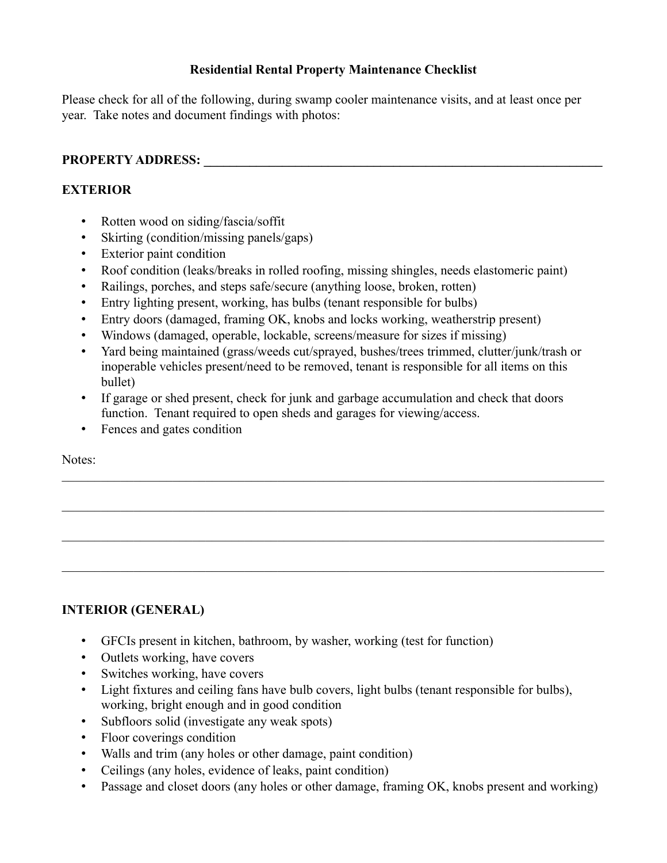### **Residential Rental Property Maintenance Checklist**

Please check for all of the following, during swamp cooler maintenance visits, and at least once per year. Take notes and document findings with photos:

## **PROPERTY ADDRESS: \_\_\_\_\_\_\_\_\_\_\_\_\_\_\_\_\_\_\_\_\_\_\_\_\_\_\_\_\_\_\_\_\_\_\_\_\_\_\_\_\_\_\_\_\_\_\_\_\_\_\_\_\_\_\_\_\_\_\_\_\_**

## **EXTERIOR**

- Rotten wood on siding/fascia/soffit
- Skirting (condition/missing panels/gaps)
- Exterior paint condition
- Roof condition (leaks/breaks in rolled roofing, missing shingles, needs elastomeric paint)
- Railings, porches, and steps safe/secure (anything loose, broken, rotten)
- Entry lighting present, working, has bulbs (tenant responsible for bulbs)
- Entry doors (damaged, framing OK, knobs and locks working, weatherstrip present)
- Windows (damaged, operable, lockable, screens/measure for sizes if missing)
- Yard being maintained (grass/weeds cut/sprayed, bushes/trees trimmed, clutter/junk/trash or inoperable vehicles present/need to be removed, tenant is responsible for all items on this bullet)

 $\_$  , and the set of the set of the set of the set of the set of the set of the set of the set of the set of the set of the set of the set of the set of the set of the set of the set of the set of the set of the set of th

- If garage or shed present, check for junk and garbage accumulation and check that doors function. Tenant required to open sheds and garages for viewing/access.
- Fences and gates condition

Notes:

# **INTERIOR (GENERAL)**

- GFCIs present in kitchen, bathroom, by washer, working (test for function)
- Outlets working, have covers
- Switches working, have covers
- Light fixtures and ceiling fans have bulb covers, light bulbs (tenant responsible for bulbs), working, bright enough and in good condition
- Subfloors solid (investigate any weak spots)
- Floor coverings condition
- Walls and trim (any holes or other damage, paint condition)
- Ceilings (any holes, evidence of leaks, paint condition)
- Passage and closet doors (any holes or other damage, framing OK, knobs present and working)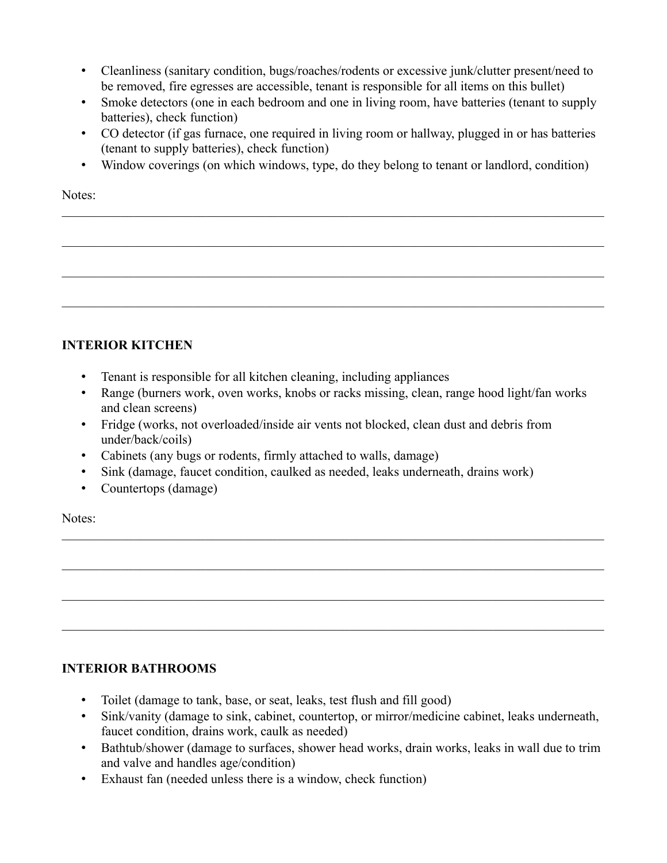- Cleanliness (sanitary condition, bugs/roaches/rodents or excessive junk/clutter present/need to be removed, fire egresses are accessible, tenant is responsible for all items on this bullet)
- Smoke detectors (one in each bedroom and one in living room, have batteries (tenant to supply batteries), check function)
- CO detector (if gas furnace, one required in living room or hallway, plugged in or has batteries (tenant to supply batteries), check function)
- Window coverings (on which windows, type, do they belong to tenant or landlord, condition)

Notes:

# **INTERIOR KITCHEN**

- Tenant is responsible for all kitchen cleaning, including appliances
- Range (burners work, oven works, knobs or racks missing, clean, range hood light/fan works and clean screens)
- Fridge (works, not overloaded/inside air vents not blocked, clean dust and debris from under/back/coils)
- Cabinets (any bugs or rodents, firmly attached to walls, damage)
- Sink (damage, faucet condition, caulked as needed, leaks underneath, drains work)
- Countertops (damage)

Notes:

### **INTERIOR BATHROOMS**

- Toilet (damage to tank, base, or seat, leaks, test flush and fill good)
- Sink/vanity (damage to sink, cabinet, countertop, or mirror/medicine cabinet, leaks underneath, faucet condition, drains work, caulk as needed)

 $\_$  , and the set of the set of the set of the set of the set of the set of the set of the set of the set of the set of the set of the set of the set of the set of the set of the set of the set of the set of the set of th

- Bathtub/shower (damage to surfaces, shower head works, drain works, leaks in wall due to trim and valve and handles age/condition)
- Exhaust fan (needed unless there is a window, check function)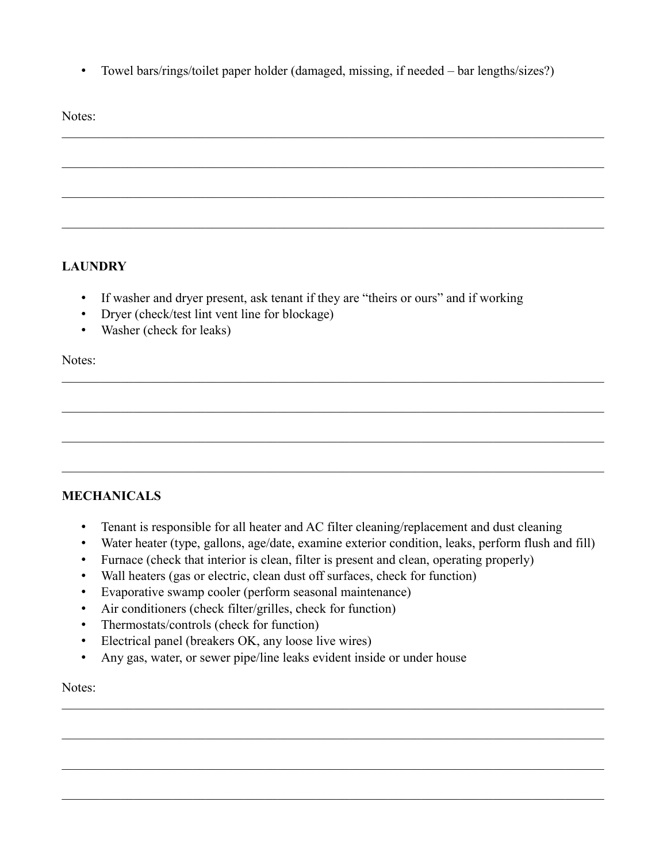• Towel bars/rings/toilet paper holder (damaged, missing, if needed – bar lengths/sizes?)

Notes:

# **LAUNDRY**

- If washer and dryer present, ask tenant if they are "theirs or ours" and if working
- Dryer (check/test lint vent line for blockage)
- Washer (check for leaks)

Notes:

### **MECHANICALS**

- Tenant is responsible for all heater and AC filter cleaning/replacement and dust cleaning
- Water heater (type, gallons, age/date, examine exterior condition, leaks, perform flush and fill)

 $\_$  , and the set of the set of the set of the set of the set of the set of the set of the set of the set of the set of the set of the set of the set of the set of the set of the set of the set of the set of the set of th

- Furnace (check that interior is clean, filter is present and clean, operating properly)
- Wall heaters (gas or electric, clean dust off surfaces, check for function)
- Evaporative swamp cooler (perform seasonal maintenance)
- Air conditioners (check filter/grilles, check for function)
- Thermostats/controls (check for function)
- Electrical panel (breakers OK, any loose live wires)
- Any gas, water, or sewer pipe/line leaks evident inside or under house

Notes: